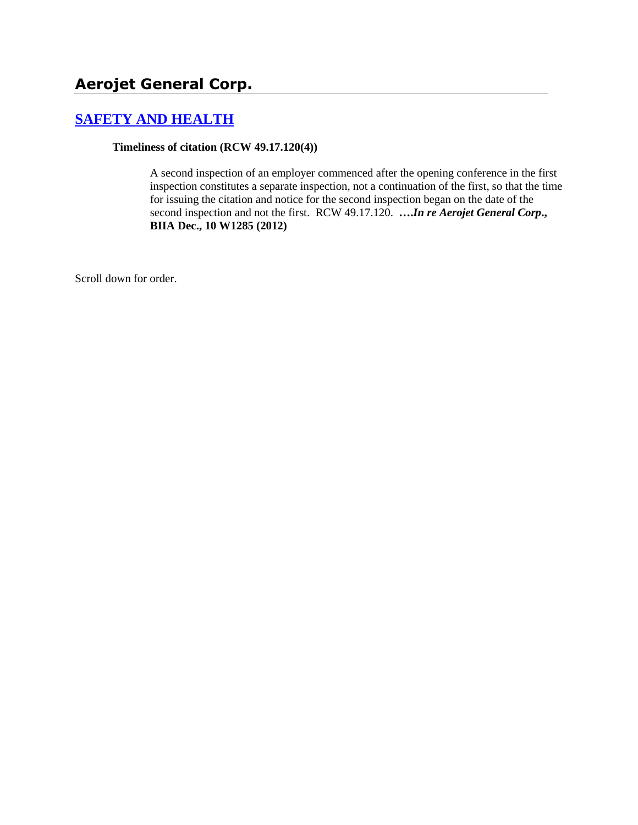# **Aerojet General Corp.**

## **[SAFETY AND HEALTH](http://www.biia.wa.gov/SDSubjectIndex.html#SAFETY_AND_HEALTH)**

**Timeliness of citation (RCW 49.17.120(4))**

A second inspection of an employer commenced after the opening conference in the first inspection constitutes a separate inspection, not a continuation of the first, so that the time for issuing the citation and notice for the second inspection began on the date of the second inspection and not the first. RCW 49.17.120. **….***In re Aerojet General Corp***., BIIA Dec., 10 W1285 (2012)**

Scroll down for order.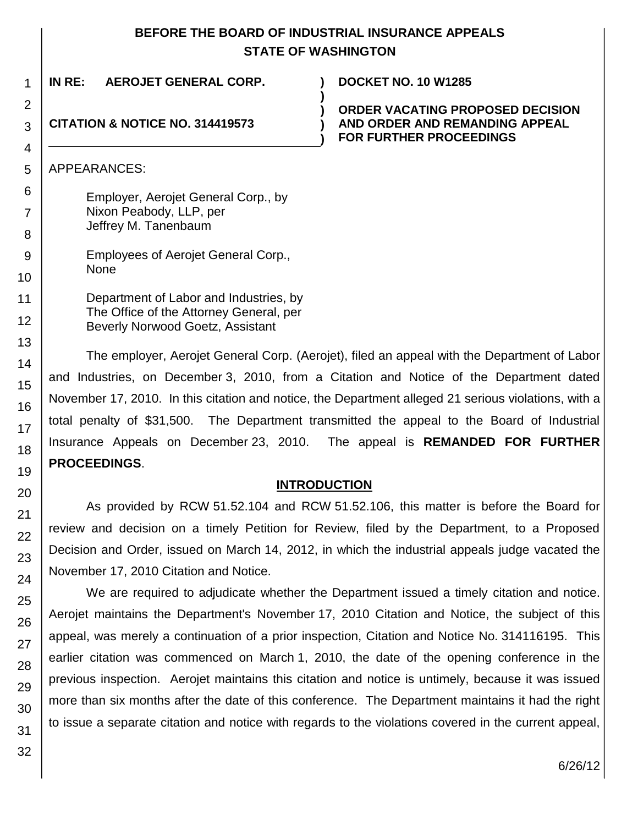### **BEFORE THE BOARD OF INDUSTRIAL INSURANCE APPEALS STATE OF WASHINGTON**

| 1      | IN RE:<br>AEROJET GENERAL CORP.            | <b>DOCKET NO. 10 W1285</b>                                       |
|--------|--------------------------------------------|------------------------------------------------------------------|
| 2      |                                            | <b>ORDER VACATING PROPOSED DECISION</b>                          |
| 3      | <b>CITATION &amp; NOTICE NO. 314419573</b> | AND ORDER AND REMANDING APPEAL<br><b>FOR FURTHER PROCEEDINGS</b> |
| 4      |                                            |                                                                  |
| 5      | APPEARANCES:                               |                                                                  |
| 6      | Employer, Aerojet General Corp., by        |                                                                  |
|        | Nixon Peabody, LLP, per                    |                                                                  |
| 8      | Jeffrey M. Tanenbaum                       |                                                                  |
| 9      | Employees of Aerojet General Corp.,        |                                                                  |
| 10     | <b>None</b>                                |                                                                  |
| 11     | Department of Labor and Industries, by     |                                                                  |
| $\sim$ | The Office of the Attorney General, per    |                                                                  |

The employer, Aerojet General Corp. (Aerojet), filed an appeal with the Department of Labor and Industries, on December 3, 2010, from a Citation and Notice of the Department dated November 17, 2010. In this citation and notice, the Department alleged 21 serious violations, with a total penalty of \$31,500. The Department transmitted the appeal to the Board of Industrial Insurance Appeals on December 23, 2010. The appeal is **REMANDED FOR FURTHER PROCEEDINGS**.

Beverly Norwood Goetz, Assistant

### **INTRODUCTION**

As provided by RCW 51.52.104 and RCW 51.52.106, this matter is before the Board for review and decision on a timely Petition for Review, filed by the Department, to a Proposed Decision and Order, issued on March 14, 2012, in which the industrial appeals judge vacated the November 17, 2010 Citation and Notice.

We are required to adjudicate whether the Department issued a timely citation and notice. Aerojet maintains the Department's November 17, 2010 Citation and Notice, the subject of this appeal, was merely a continuation of a prior inspection, Citation and Notice No. 314116195. This earlier citation was commenced on March 1, 2010, the date of the opening conference in the previous inspection. Aerojet maintains this citation and notice is untimely, because it was issued more than six months after the date of this conference. The Department maintains it had the right to issue a separate citation and notice with regards to the violations covered in the current appeal,

32

12

13 14

15

16

17

18

19

20

21 22

23

24

25

26

27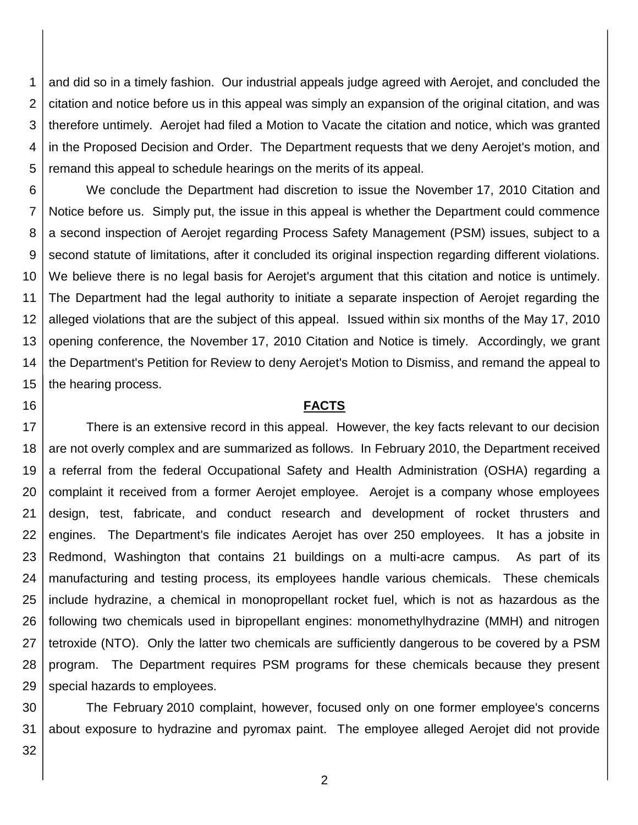1 2 3 4 5 and did so in a timely fashion. Our industrial appeals judge agreed with Aerojet, and concluded the citation and notice before us in this appeal was simply an expansion of the original citation, and was therefore untimely. Aerojet had filed a Motion to Vacate the citation and notice, which was granted in the Proposed Decision and Order. The Department requests that we deny Aerojet's motion, and remand this appeal to schedule hearings on the merits of its appeal.

6 7 8 9 10 11 12 13 14 15 We conclude the Department had discretion to issue the November 17, 2010 Citation and Notice before us. Simply put, the issue in this appeal is whether the Department could commence a second inspection of Aerojet regarding Process Safety Management (PSM) issues, subject to a second statute of limitations, after it concluded its original inspection regarding different violations. We believe there is no legal basis for Aerojet's argument that this citation and notice is untimely. The Department had the legal authority to initiate a separate inspection of Aerojet regarding the alleged violations that are the subject of this appeal. Issued within six months of the May 17, 2010 opening conference, the November 17, 2010 Citation and Notice is timely. Accordingly, we grant the Department's Petition for Review to deny Aerojet's Motion to Dismiss, and remand the appeal to the hearing process.

#### **FACTS**

17 18 19 20 21 22 23 24 25 26 27 28 29 There is an extensive record in this appeal. However, the key facts relevant to our decision are not overly complex and are summarized as follows. In February 2010, the Department received a referral from the federal Occupational Safety and Health Administration (OSHA) regarding a complaint it received from a former Aerojet employee. Aerojet is a company whose employees design, test, fabricate, and conduct research and development of rocket thrusters and engines. The Department's file indicates Aerojet has over 250 employees. It has a jobsite in Redmond, Washington that contains 21 buildings on a multi-acre campus. As part of its manufacturing and testing process, its employees handle various chemicals. These chemicals include hydrazine, a chemical in monopropellant rocket fuel, which is not as hazardous as the following two chemicals used in bipropellant engines: monomethylhydrazine (MMH) and nitrogen tetroxide (NTO). Only the latter two chemicals are sufficiently dangerous to be covered by a PSM program. The Department requires PSM programs for these chemicals because they present special hazards to employees.

30 31 The February 2010 complaint, however, focused only on one former employee's concerns about exposure to hydrazine and pyromax paint. The employee alleged Aerojet did not provide

32

16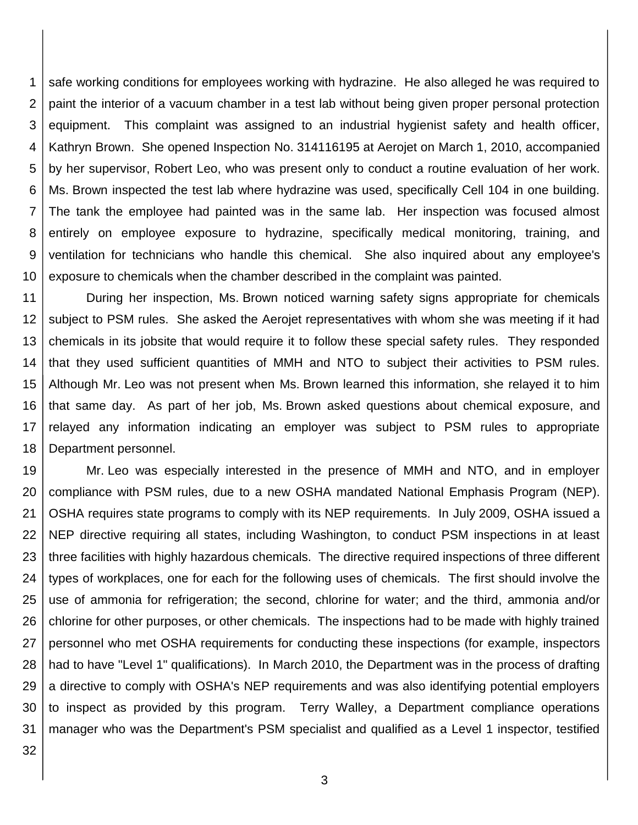1 2 3 4 5 6 7 8 9 10 safe working conditions for employees working with hydrazine. He also alleged he was required to paint the interior of a vacuum chamber in a test lab without being given proper personal protection equipment. This complaint was assigned to an industrial hygienist safety and health officer, Kathryn Brown. She opened Inspection No. 314116195 at Aerojet on March 1, 2010, accompanied by her supervisor, Robert Leo, who was present only to conduct a routine evaluation of her work. Ms. Brown inspected the test lab where hydrazine was used, specifically Cell 104 in one building. The tank the employee had painted was in the same lab. Her inspection was focused almost entirely on employee exposure to hydrazine, specifically medical monitoring, training, and ventilation for technicians who handle this chemical. She also inquired about any employee's exposure to chemicals when the chamber described in the complaint was painted.

11 12 13 14 15 16 17 18 During her inspection, Ms. Brown noticed warning safety signs appropriate for chemicals subject to PSM rules. She asked the Aerojet representatives with whom she was meeting if it had chemicals in its jobsite that would require it to follow these special safety rules. They responded that they used sufficient quantities of MMH and NTO to subject their activities to PSM rules. Although Mr. Leo was not present when Ms. Brown learned this information, she relayed it to him that same day. As part of her job, Ms. Brown asked questions about chemical exposure, and relayed any information indicating an employer was subject to PSM rules to appropriate Department personnel.

19 20 21 22 23 24 25 26 27 28 29 30 31 Mr. Leo was especially interested in the presence of MMH and NTO, and in employer compliance with PSM rules, due to a new OSHA mandated National Emphasis Program (NEP). OSHA requires state programs to comply with its NEP requirements. In July 2009, OSHA issued a NEP directive requiring all states, including Washington, to conduct PSM inspections in at least three facilities with highly hazardous chemicals. The directive required inspections of three different types of workplaces, one for each for the following uses of chemicals. The first should involve the use of ammonia for refrigeration; the second, chlorine for water; and the third, ammonia and/or chlorine for other purposes, or other chemicals. The inspections had to be made with highly trained personnel who met OSHA requirements for conducting these inspections (for example, inspectors had to have "Level 1" qualifications). In March 2010, the Department was in the process of drafting a directive to comply with OSHA's NEP requirements and was also identifying potential employers to inspect as provided by this program. Terry Walley, a Department compliance operations manager who was the Department's PSM specialist and qualified as a Level 1 inspector, testified

32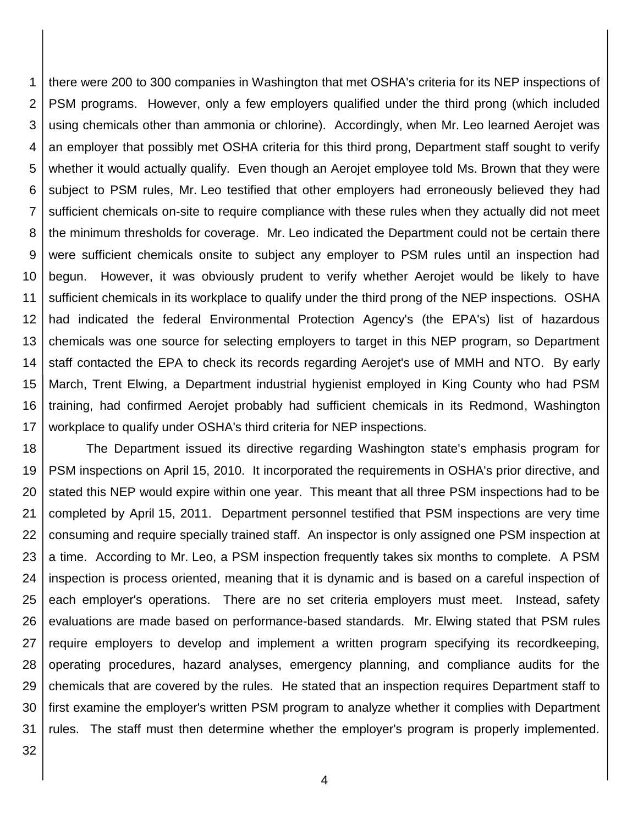1 2 3 4 5 6 7 8 9 10 11 12 13 14 15 16 17 there were 200 to 300 companies in Washington that met OSHA's criteria for its NEP inspections of PSM programs. However, only a few employers qualified under the third prong (which included using chemicals other than ammonia or chlorine). Accordingly, when Mr. Leo learned Aerojet was an employer that possibly met OSHA criteria for this third prong, Department staff sought to verify whether it would actually qualify. Even though an Aerojet employee told Ms. Brown that they were subject to PSM rules, Mr. Leo testified that other employers had erroneously believed they had sufficient chemicals on-site to require compliance with these rules when they actually did not meet the minimum thresholds for coverage. Mr. Leo indicated the Department could not be certain there were sufficient chemicals onsite to subject any employer to PSM rules until an inspection had begun. However, it was obviously prudent to verify whether Aerojet would be likely to have sufficient chemicals in its workplace to qualify under the third prong of the NEP inspections. OSHA had indicated the federal Environmental Protection Agency's (the EPA's) list of hazardous chemicals was one source for selecting employers to target in this NEP program, so Department staff contacted the EPA to check its records regarding Aerojet's use of MMH and NTO. By early March, Trent Elwing, a Department industrial hygienist employed in King County who had PSM training, had confirmed Aerojet probably had sufficient chemicals in its Redmond, Washington workplace to qualify under OSHA's third criteria for NEP inspections.

18 19 20 21 22 23 24 25 26 27 28 29 30 31 The Department issued its directive regarding Washington state's emphasis program for PSM inspections on April 15, 2010. It incorporated the requirements in OSHA's prior directive, and stated this NEP would expire within one year. This meant that all three PSM inspections had to be completed by April 15, 2011. Department personnel testified that PSM inspections are very time consuming and require specially trained staff. An inspector is only assigned one PSM inspection at a time. According to Mr. Leo, a PSM inspection frequently takes six months to complete. A PSM inspection is process oriented, meaning that it is dynamic and is based on a careful inspection of each employer's operations. There are no set criteria employers must meet. Instead, safety evaluations are made based on performance-based standards. Mr. Elwing stated that PSM rules require employers to develop and implement a written program specifying its recordkeeping, operating procedures, hazard analyses, emergency planning, and compliance audits for the chemicals that are covered by the rules. He stated that an inspection requires Department staff to first examine the employer's written PSM program to analyze whether it complies with Department rules. The staff must then determine whether the employer's program is properly implemented.

32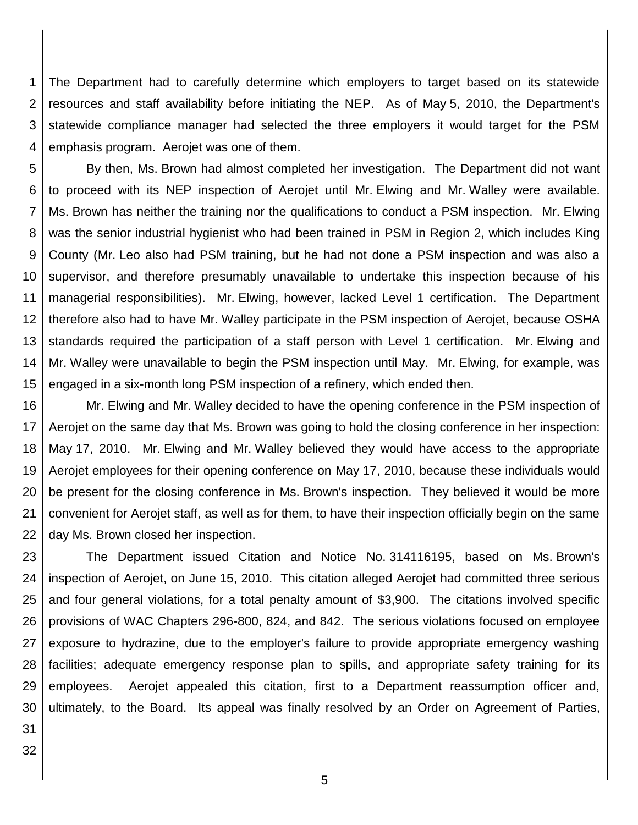1 2 3 4 The Department had to carefully determine which employers to target based on its statewide resources and staff availability before initiating the NEP. As of May 5, 2010, the Department's statewide compliance manager had selected the three employers it would target for the PSM emphasis program. Aerojet was one of them.

5 6 7 8 9 10 11 12 13 14 15 By then, Ms. Brown had almost completed her investigation. The Department did not want to proceed with its NEP inspection of Aerojet until Mr. Elwing and Mr. Walley were available. Ms. Brown has neither the training nor the qualifications to conduct a PSM inspection. Mr. Elwing was the senior industrial hygienist who had been trained in PSM in Region 2, which includes King County (Mr. Leo also had PSM training, but he had not done a PSM inspection and was also a supervisor, and therefore presumably unavailable to undertake this inspection because of his managerial responsibilities). Mr. Elwing, however, lacked Level 1 certification. The Department therefore also had to have Mr. Walley participate in the PSM inspection of Aerojet, because OSHA standards required the participation of a staff person with Level 1 certification. Mr. Elwing and Mr. Walley were unavailable to begin the PSM inspection until May. Mr. Elwing, for example, was engaged in a six-month long PSM inspection of a refinery, which ended then.

16 17 18 19 20 21 22 Mr. Elwing and Mr. Walley decided to have the opening conference in the PSM inspection of Aerojet on the same day that Ms. Brown was going to hold the closing conference in her inspection: May 17, 2010. Mr. Elwing and Mr. Walley believed they would have access to the appropriate Aerojet employees for their opening conference on May 17, 2010, because these individuals would be present for the closing conference in Ms. Brown's inspection. They believed it would be more convenient for Aerojet staff, as well as for them, to have their inspection officially begin on the same day Ms. Brown closed her inspection.

23 24 25 26 27 28 29 30 The Department issued Citation and Notice No. 314116195, based on Ms. Brown's inspection of Aerojet, on June 15, 2010. This citation alleged Aerojet had committed three serious and four general violations, for a total penalty amount of \$3,900. The citations involved specific provisions of WAC Chapters 296-800, 824, and 842. The serious violations focused on employee exposure to hydrazine, due to the employer's failure to provide appropriate emergency washing facilities; adequate emergency response plan to spills, and appropriate safety training for its employees. Aerojet appealed this citation, first to a Department reassumption officer and, ultimately, to the Board. Its appeal was finally resolved by an Order on Agreement of Parties,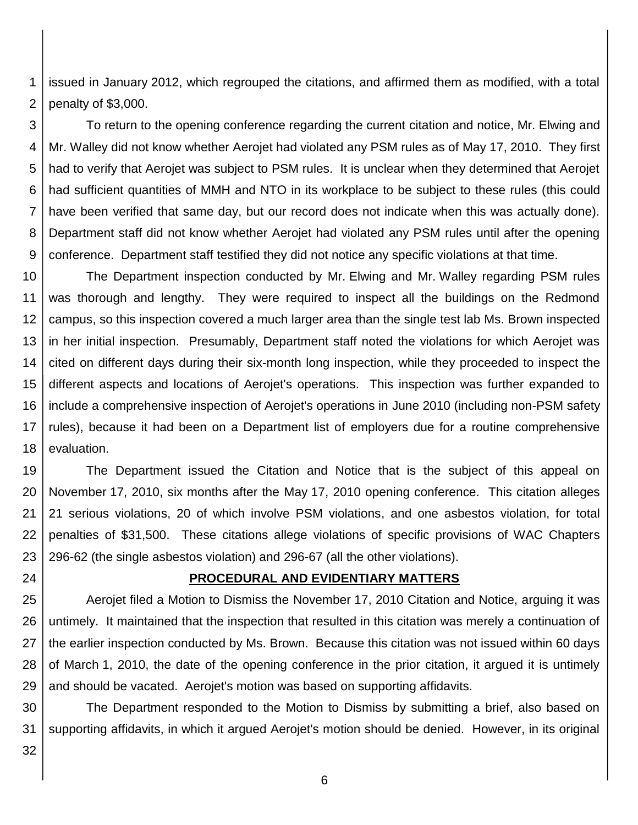1 2 issued in January 2012, which regrouped the citations, and affirmed them as modified, with a total penalty of \$3,000.

3 4 5 6 7 8 9 To return to the opening conference regarding the current citation and notice, Mr. Elwing and Mr. Walley did not know whether Aerojet had violated any PSM rules as of May 17, 2010. They first had to verify that Aerojet was subject to PSM rules. It is unclear when they determined that Aerojet had sufficient quantities of MMH and NTO in its workplace to be subject to these rules (this could have been verified that same day, but our record does not indicate when this was actually done). Department staff did not know whether Aerojet had violated any PSM rules until after the opening conference. Department staff testified they did not notice any specific violations at that time.

10 11 12 13 14 15 16 17 18 The Department inspection conducted by Mr. Elwing and Mr. Walley regarding PSM rules was thorough and lengthy. They were required to inspect all the buildings on the Redmond campus, so this inspection covered a much larger area than the single test lab Ms. Brown inspected in her initial inspection. Presumably, Department staff noted the violations for which Aerojet was cited on different days during their six-month long inspection, while they proceeded to inspect the different aspects and locations of Aerojet's operations. This inspection was further expanded to include a comprehensive inspection of Aerojet's operations in June 2010 (including non-PSM safety rules), because it had been on a Department list of employers due for a routine comprehensive evaluation.

19 20 21 22 23 The Department issued the Citation and Notice that is the subject of this appeal on November 17, 2010, six months after the May 17, 2010 opening conference. This citation alleges 21 serious violations, 20 of which involve PSM violations, and one asbestos violation, for total penalties of \$31,500. These citations allege violations of specific provisions of WAC Chapters 296-62 (the single asbestos violation) and 296-67 (all the other violations).

24

#### **PROCEDURAL AND EVIDENTIARY MATTERS**

25 26 27 28 29 Aerojet filed a Motion to Dismiss the November 17, 2010 Citation and Notice, arguing it was untimely. It maintained that the inspection that resulted in this citation was merely a continuation of the earlier inspection conducted by Ms. Brown. Because this citation was not issued within 60 days of March 1, 2010, the date of the opening conference in the prior citation, it argued it is untimely and should be vacated. Aerojet's motion was based on supporting affidavits.

30 31 The Department responded to the Motion to Dismiss by submitting a brief, also based on supporting affidavits, in which it argued Aerojet's motion should be denied. However, in its original

32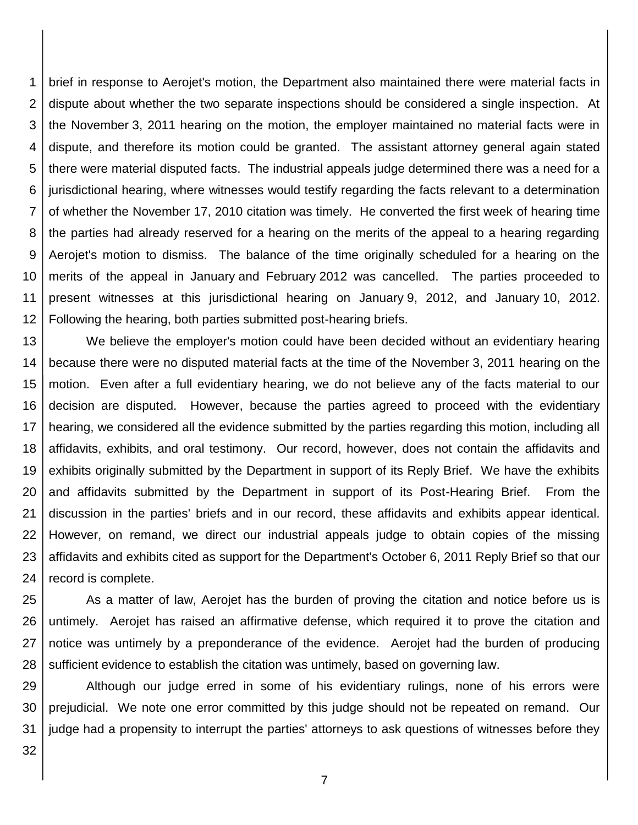1 2 3 4 5 6 7 8 9 10 11 12 brief in response to Aerojet's motion, the Department also maintained there were material facts in dispute about whether the two separate inspections should be considered a single inspection. At the November 3, 2011 hearing on the motion, the employer maintained no material facts were in dispute, and therefore its motion could be granted. The assistant attorney general again stated there were material disputed facts. The industrial appeals judge determined there was a need for a jurisdictional hearing, where witnesses would testify regarding the facts relevant to a determination of whether the November 17, 2010 citation was timely. He converted the first week of hearing time the parties had already reserved for a hearing on the merits of the appeal to a hearing regarding Aerojet's motion to dismiss. The balance of the time originally scheduled for a hearing on the merits of the appeal in January and February 2012 was cancelled. The parties proceeded to present witnesses at this jurisdictional hearing on January 9, 2012, and January 10, 2012. Following the hearing, both parties submitted post-hearing briefs.

13 14 15 16 17 18 19 20 21 22 23 24 We believe the employer's motion could have been decided without an evidentiary hearing because there were no disputed material facts at the time of the November 3, 2011 hearing on the motion. Even after a full evidentiary hearing, we do not believe any of the facts material to our decision are disputed. However, because the parties agreed to proceed with the evidentiary hearing, we considered all the evidence submitted by the parties regarding this motion, including all affidavits, exhibits, and oral testimony. Our record, however, does not contain the affidavits and exhibits originally submitted by the Department in support of its Reply Brief. We have the exhibits and affidavits submitted by the Department in support of its Post-Hearing Brief. From the discussion in the parties' briefs and in our record, these affidavits and exhibits appear identical. However, on remand, we direct our industrial appeals judge to obtain copies of the missing affidavits and exhibits cited as support for the Department's October 6, 2011 Reply Brief so that our record is complete.

25 26 27 28 As a matter of law, Aerojet has the burden of proving the citation and notice before us is untimely. Aerojet has raised an affirmative defense, which required it to prove the citation and notice was untimely by a preponderance of the evidence. Aerojet had the burden of producing sufficient evidence to establish the citation was untimely, based on governing law.

29 30 31 Although our judge erred in some of his evidentiary rulings, none of his errors were prejudicial. We note one error committed by this judge should not be repeated on remand. Our judge had a propensity to interrupt the parties' attorneys to ask questions of witnesses before they

32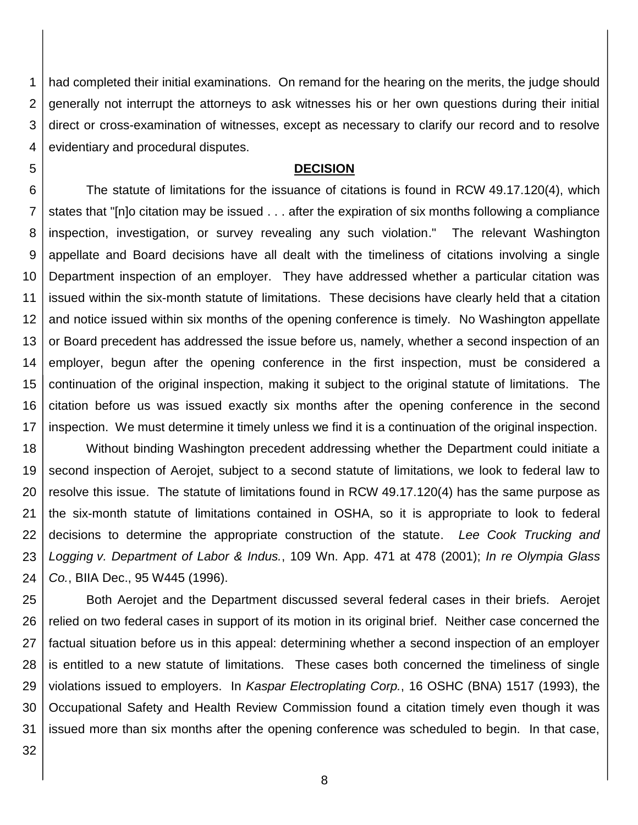1 2 3 4 had completed their initial examinations. On remand for the hearing on the merits, the judge should generally not interrupt the attorneys to ask witnesses his or her own questions during their initial direct or cross-examination of witnesses, except as necessary to clarify our record and to resolve evidentiary and procedural disputes.

#### **DECISION**

6 7 8 9 10 11 12 13 14 15 16 17 The statute of limitations for the issuance of citations is found in RCW 49.17.120(4), which states that "[n]o citation may be issued . . . after the expiration of six months following a compliance inspection, investigation, or survey revealing any such violation." The relevant Washington appellate and Board decisions have all dealt with the timeliness of citations involving a single Department inspection of an employer. They have addressed whether a particular citation was issued within the six-month statute of limitations. These decisions have clearly held that a citation and notice issued within six months of the opening conference is timely. No Washington appellate or Board precedent has addressed the issue before us, namely, whether a second inspection of an employer, begun after the opening conference in the first inspection, must be considered a continuation of the original inspection, making it subject to the original statute of limitations. The citation before us was issued exactly six months after the opening conference in the second inspection. We must determine it timely unless we find it is a continuation of the original inspection.

18 19 20 21 22 23 24 Without binding Washington precedent addressing whether the Department could initiate a second inspection of Aerojet, subject to a second statute of limitations, we look to federal law to resolve this issue. The statute of limitations found in RCW 49.17.120(4) has the same purpose as the six-month statute of limitations contained in OSHA, so it is appropriate to look to federal decisions to determine the appropriate construction of the statute. *Lee Cook Trucking and Logging v. Department of Labor & Indus.*, 109 Wn. App. 471 at 478 (2001); *In re Olympia Glass Co.*, BIIA Dec., 95 W445 (1996).

25 26 27 28 29 30 31 Both Aerojet and the Department discussed several federal cases in their briefs. Aerojet relied on two federal cases in support of its motion in its original brief. Neither case concerned the factual situation before us in this appeal: determining whether a second inspection of an employer is entitled to a new statute of limitations. These cases both concerned the timeliness of single violations issued to employers. In *Kaspar Electroplating Corp.*, 16 OSHC (BNA) 1517 (1993), the Occupational Safety and Health Review Commission found a citation timely even though it was issued more than six months after the opening conference was scheduled to begin. In that case,

32

5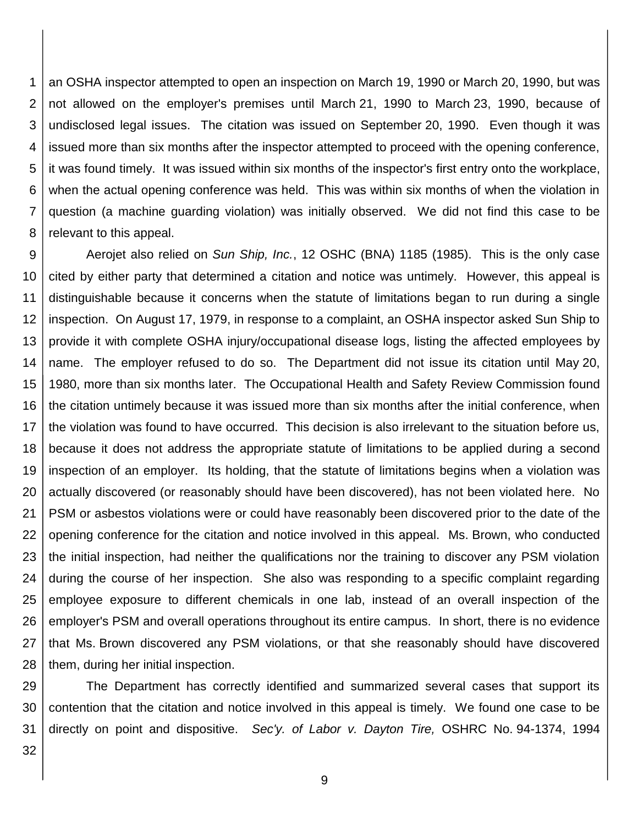1 2 3 4 5 6 7 8 an OSHA inspector attempted to open an inspection on March 19, 1990 or March 20, 1990, but was not allowed on the employer's premises until March 21, 1990 to March 23, 1990, because of undisclosed legal issues. The citation was issued on September 20, 1990. Even though it was issued more than six months after the inspector attempted to proceed with the opening conference, it was found timely. It was issued within six months of the inspector's first entry onto the workplace, when the actual opening conference was held. This was within six months of when the violation in question (a machine guarding violation) was initially observed. We did not find this case to be relevant to this appeal.

9 10 11 12 13 14 15 16 17 18 19 20 21 22 23 24 25 26 27 28 Aerojet also relied on *Sun Ship, Inc.*, 12 OSHC (BNA) 1185 (1985). This is the only case cited by either party that determined a citation and notice was untimely. However, this appeal is distinguishable because it concerns when the statute of limitations began to run during a single inspection. On August 17, 1979, in response to a complaint, an OSHA inspector asked Sun Ship to provide it with complete OSHA injury/occupational disease logs, listing the affected employees by name. The employer refused to do so. The Department did not issue its citation until May 20, 1980, more than six months later. The Occupational Health and Safety Review Commission found the citation untimely because it was issued more than six months after the initial conference, when the violation was found to have occurred. This decision is also irrelevant to the situation before us, because it does not address the appropriate statute of limitations to be applied during a second inspection of an employer. Its holding, that the statute of limitations begins when a violation was actually discovered (or reasonably should have been discovered), has not been violated here. No PSM or asbestos violations were or could have reasonably been discovered prior to the date of the opening conference for the citation and notice involved in this appeal. Ms. Brown, who conducted the initial inspection, had neither the qualifications nor the training to discover any PSM violation during the course of her inspection. She also was responding to a specific complaint regarding employee exposure to different chemicals in one lab, instead of an overall inspection of the employer's PSM and overall operations throughout its entire campus. In short, there is no evidence that Ms. Brown discovered any PSM violations, or that she reasonably should have discovered them, during her initial inspection.

29 30 31 The Department has correctly identified and summarized several cases that support its contention that the citation and notice involved in this appeal is timely. We found one case to be directly on point and dispositive. *Sec'y. of Labor v. Dayton Tire,* OSHRC No. 94-1374, 1994

32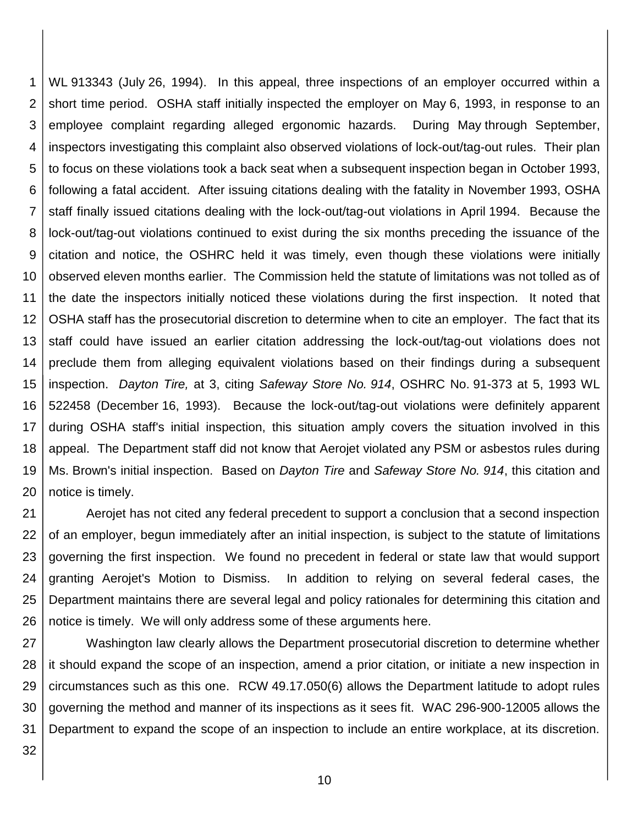1 2 3 4 5 6 7 8 9 10 11 12 13 14 15 16 17 18 19 20 WL 913343 (July 26, 1994). In this appeal, three inspections of an employer occurred within a short time period. OSHA staff initially inspected the employer on May 6, 1993, in response to an employee complaint regarding alleged ergonomic hazards. During May through September, inspectors investigating this complaint also observed violations of lock-out/tag-out rules. Their plan to focus on these violations took a back seat when a subsequent inspection began in October 1993, following a fatal accident. After issuing citations dealing with the fatality in November 1993, OSHA staff finally issued citations dealing with the lock-out/tag-out violations in April 1994. Because the lock-out/tag-out violations continued to exist during the six months preceding the issuance of the citation and notice, the OSHRC held it was timely, even though these violations were initially observed eleven months earlier. The Commission held the statute of limitations was not tolled as of the date the inspectors initially noticed these violations during the first inspection. It noted that OSHA staff has the prosecutorial discretion to determine when to cite an employer. The fact that its staff could have issued an earlier citation addressing the lock-out/tag-out violations does not preclude them from alleging equivalent violations based on their findings during a subsequent inspection. *Dayton Tire,* at 3, citing *Safeway Store No. 914*, OSHRC No. 91-373 at 5, 1993 WL 522458 (December 16, 1993). Because the lock-out/tag-out violations were definitely apparent during OSHA staff's initial inspection, this situation amply covers the situation involved in this appeal. The Department staff did not know that Aerojet violated any PSM or asbestos rules during Ms. Brown's initial inspection. Based on *Dayton Tire* and *Safeway Store No. 914*, this citation and notice is timely.

21 22 23 24 25 26 Aerojet has not cited any federal precedent to support a conclusion that a second inspection of an employer, begun immediately after an initial inspection, is subject to the statute of limitations governing the first inspection. We found no precedent in federal or state law that would support granting Aerojet's Motion to Dismiss. In addition to relying on several federal cases, the Department maintains there are several legal and policy rationales for determining this citation and notice is timely. We will only address some of these arguments here.

27 28 29 30 31 Washington law clearly allows the Department prosecutorial discretion to determine whether it should expand the scope of an inspection, amend a prior citation, or initiate a new inspection in circumstances such as this one. RCW 49.17.050(6) allows the Department latitude to adopt rules governing the method and manner of its inspections as it sees fit. WAC 296-900-12005 allows the Department to expand the scope of an inspection to include an entire workplace, at its discretion.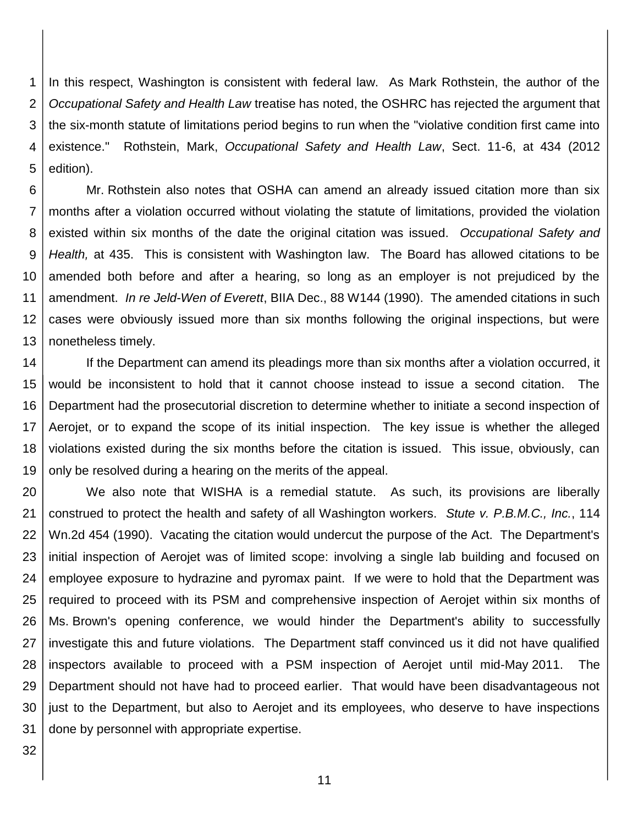1 2 3 4 5 In this respect, Washington is consistent with federal law. As Mark Rothstein, the author of the *Occupational Safety and Health Law* treatise has noted, the OSHRC has rejected the argument that the six-month statute of limitations period begins to run when the "violative condition first came into existence." Rothstein, Mark, *Occupational Safety and Health Law*, Sect. 11-6, at 434 (2012 edition).

6 7 8 9 10 11 12 13 Mr. Rothstein also notes that OSHA can amend an already issued citation more than six months after a violation occurred without violating the statute of limitations, provided the violation existed within six months of the date the original citation was issued. *Occupational Safety and Health,* at 435. This is consistent with Washington law. The Board has allowed citations to be amended both before and after a hearing, so long as an employer is not prejudiced by the amendment. *In re Jeld-Wen of Everett*, BIIA Dec., 88 W144 (1990). The amended citations in such cases were obviously issued more than six months following the original inspections, but were nonetheless timely.

14 15 16 17 18 19 If the Department can amend its pleadings more than six months after a violation occurred, it would be inconsistent to hold that it cannot choose instead to issue a second citation. The Department had the prosecutorial discretion to determine whether to initiate a second inspection of Aerojet, or to expand the scope of its initial inspection. The key issue is whether the alleged violations existed during the six months before the citation is issued. This issue, obviously, can only be resolved during a hearing on the merits of the appeal.

20 21 22 23 24 25 26 27 28 29 30 31 We also note that WISHA is a remedial statute. As such, its provisions are liberally construed to protect the health and safety of all Washington workers. *Stute v. P.B.M.C., Inc.*, 114 Wn.2d 454 (1990). Vacating the citation would undercut the purpose of the Act. The Department's initial inspection of Aerojet was of limited scope: involving a single lab building and focused on employee exposure to hydrazine and pyromax paint. If we were to hold that the Department was required to proceed with its PSM and comprehensive inspection of Aerojet within six months of Ms. Brown's opening conference, we would hinder the Department's ability to successfully investigate this and future violations. The Department staff convinced us it did not have qualified inspectors available to proceed with a PSM inspection of Aerojet until mid-May 2011. The Department should not have had to proceed earlier. That would have been disadvantageous not just to the Department, but also to Aerojet and its employees, who deserve to have inspections done by personnel with appropriate expertise.

32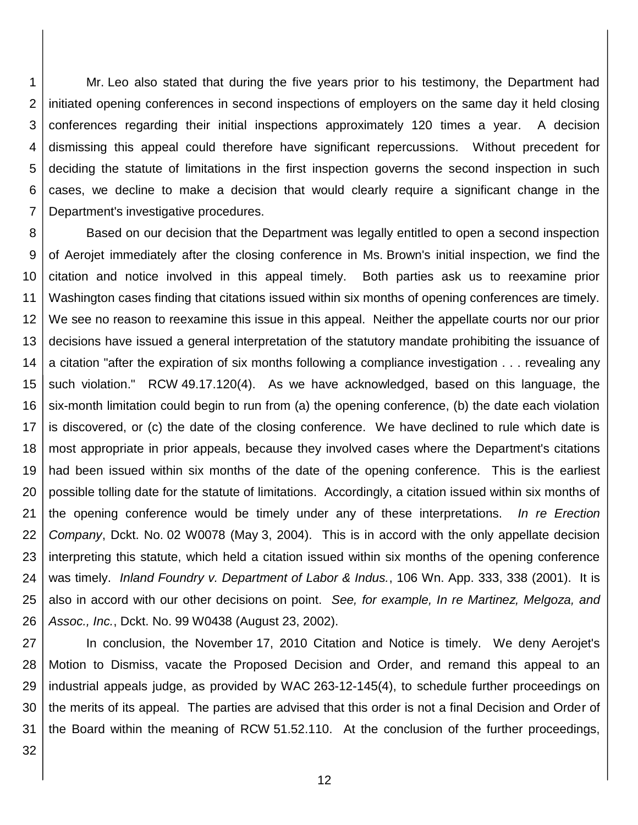1 2 3 4 5 6 7 Mr. Leo also stated that during the five years prior to his testimony, the Department had initiated opening conferences in second inspections of employers on the same day it held closing conferences regarding their initial inspections approximately 120 times a year. A decision dismissing this appeal could therefore have significant repercussions. Without precedent for deciding the statute of limitations in the first inspection governs the second inspection in such cases, we decline to make a decision that would clearly require a significant change in the Department's investigative procedures.

8 9 10 11 12 13 14 15 16 17 18 19 20 21 22 23 24 25 26 Based on our decision that the Department was legally entitled to open a second inspection of Aerojet immediately after the closing conference in Ms. Brown's initial inspection, we find the citation and notice involved in this appeal timely. Both parties ask us to reexamine prior Washington cases finding that citations issued within six months of opening conferences are timely. We see no reason to reexamine this issue in this appeal. Neither the appellate courts nor our prior decisions have issued a general interpretation of the statutory mandate prohibiting the issuance of a citation "after the expiration of six months following a compliance investigation . . . revealing any such violation." RCW 49.17.120(4). As we have acknowledged, based on this language, the six-month limitation could begin to run from (a) the opening conference, (b) the date each violation is discovered, or (c) the date of the closing conference. We have declined to rule which date is most appropriate in prior appeals, because they involved cases where the Department's citations had been issued within six months of the date of the opening conference. This is the earliest possible tolling date for the statute of limitations. Accordingly, a citation issued within six months of the opening conference would be timely under any of these interpretations. *In re Erection Company*, Dckt. No. 02 W0078 (May 3, 2004). This is in accord with the only appellate decision interpreting this statute, which held a citation issued within six months of the opening conference was timely. *Inland Foundry v. Department of Labor & Indus.*, 106 Wn. App. 333, 338 (2001). It is also in accord with our other decisions on point. *See, for example, In re Martinez, Melgoza, and Assoc., Inc.*, Dckt. No. 99 W0438 (August 23, 2002).

27 28 29 30 31 In conclusion, the November 17, 2010 Citation and Notice is timely. We deny Aerojet's Motion to Dismiss, vacate the Proposed Decision and Order, and remand this appeal to an industrial appeals judge, as provided by WAC 263-12-145(4), to schedule further proceedings on the merits of its appeal. The parties are advised that this order is not a final Decision and Order of the Board within the meaning of RCW 51.52.110. At the conclusion of the further proceedings,

32